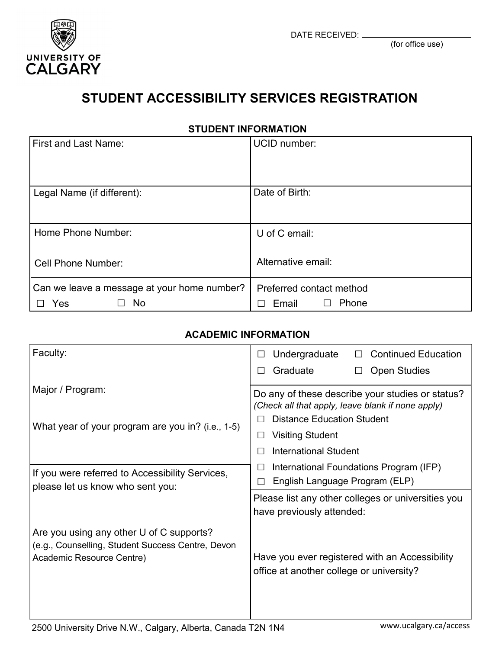

## **STUDENT ACCESSIBILITY SERVICES REGISTRATION**

**STUDENT INFORMATION**

| <b>First and Last Name:</b>                                     | <b>UCID</b> number:                        |
|-----------------------------------------------------------------|--------------------------------------------|
| Legal Name (if different):                                      | Date of Birth:                             |
| Home Phone Number:                                              | U of C email:                              |
| Cell Phone Number:                                              | Alternative email:                         |
| Can we leave a message at your home number?<br><b>No</b><br>Yes | Preferred contact method<br>Phone<br>Email |

## **ACADEMIC INFORMATION**

| Faculty:                                                                                                                   | Undergraduate<br><b>Continued Education</b><br>П                                                      |
|----------------------------------------------------------------------------------------------------------------------------|-------------------------------------------------------------------------------------------------------|
|                                                                                                                            | Graduate<br><b>Open Studies</b><br>$\Box$                                                             |
| Major / Program:                                                                                                           | Do any of these describe your studies or status?<br>(Check all that apply, leave blank if none apply) |
| What year of your program are you in? (i.e., 1-5)                                                                          | <b>Distance Education Student</b><br>П                                                                |
|                                                                                                                            | <b>Visiting Student</b><br>⊔                                                                          |
|                                                                                                                            | <b>International Student</b>                                                                          |
| If you were referred to Accessibility Services,                                                                            | International Foundations Program (IFP)<br>⊔                                                          |
| please let us know who sent you:                                                                                           | English Language Program (ELP)                                                                        |
|                                                                                                                            | Please list any other colleges or universities you                                                    |
|                                                                                                                            | have previously attended:                                                                             |
| Are you using any other U of C supports?<br>(e.g., Counselling, Student Success Centre, Devon<br>Academic Resource Centre) | Have you ever registered with an Accessibility<br>office at another college or university?            |